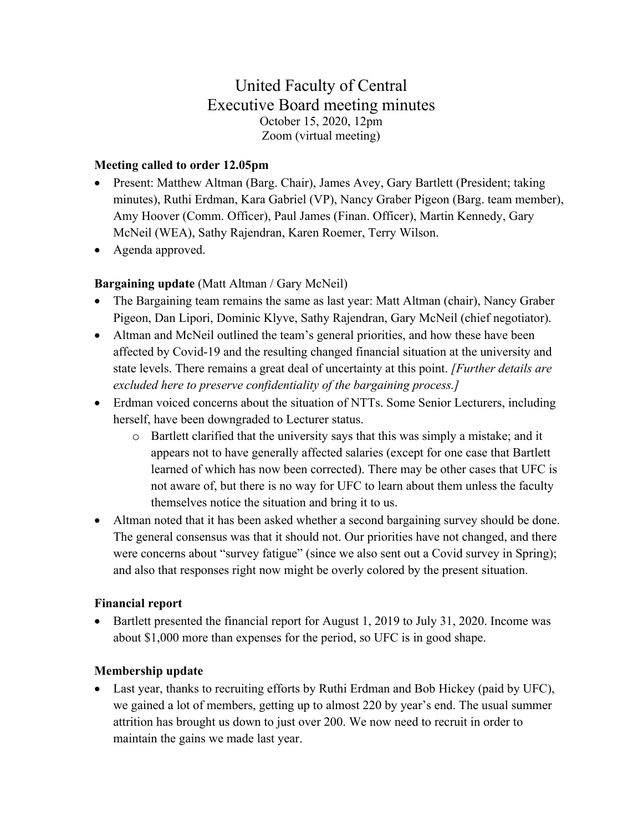# United Faculty of Central Executive Board meeting minutes October 15, 2020, 12pm Zoom (virtual meeting)

### **Meeting called to order 12.05pm**

- Present: Matthew Altman (Barg. Chair), James Avey, Gary Bartlett (President; taking minutes), Ruthi Erdman, Kara Gabriel (VP), Nancy Graber Pigeon (Barg. team member), Amy Hoover (Comm. Officer), Paul James (Finan. Officer), Martin Kennedy, Gary McNeil (WEA), Sathy Rajendran, Karen Roemer, Terry Wilson.
- Agenda approved.

## **Bargaining update** (Matt Altman / Gary McNeil)

- The Bargaining team remains the same as last year: Matt Altman (chair), Nancy Graber Pigeon, Dan Lipori, Dominic Klyve, Sathy Rajendran, Gary McNeil (chief negotiator).
- Altman and McNeil outlined the team's general priorities, and how these have been affected by Covid-19 and the resulting changed financial situation at the university and state levels. There remains a great deal of uncertainty at this point. *[Further details are excluded here to preserve confidentiality of the bargaining process.]*
- Erdman voiced concerns about the situation of NTTs. Some Senior Lecturers, including herself, have been downgraded to Lecturer status.
	- o Bartlett clarified that the university says that this was simply a mistake; and it appears not to have generally affected salaries (except for one case that Bartlett learned of which has now been corrected). There may be other cases that UFC is not aware of, but there is no way for UFC to learn about them unless the faculty themselves notice the situation and bring it to us.
- Altman noted that it has been asked whether a second bargaining survey should be done. The general consensus was that it should not. Our priorities have not changed, and there were concerns about "survey fatigue" (since we also sent out a Covid survey in Spring); and also that responses right now might be overly colored by the present situation.

#### **Financial report**

• Bartlett presented the financial report for August 1, 2019 to July 31, 2020. Income was about \$1,000 more than expenses for the period, so UFC is in good shape.

#### **Membership update**

• Last year, thanks to recruiting efforts by Ruthi Erdman and Bob Hickey (paid by UFC), we gained a lot of members, getting up to almost 220 by year's end. The usual summer attrition has brought us down to just over 200. We now need to recruit in order to maintain the gains we made last year.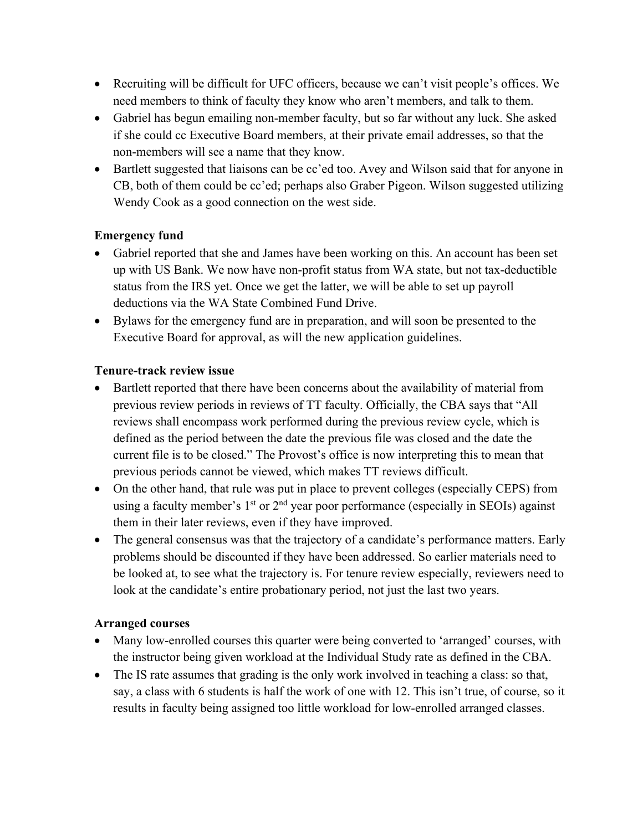- Recruiting will be difficult for UFC officers, because we can't visit people's offices. We need members to think of faculty they know who aren't members, and talk to them.
- Gabriel has begun emailing non-member faculty, but so far without any luck. She asked if she could cc Executive Board members, at their private email addresses, so that the non-members will see a name that they know.
- Bartlett suggested that liaisons can be cc'ed too. Avey and Wilson said that for anyone in CB, both of them could be cc'ed; perhaps also Graber Pigeon. Wilson suggested utilizing Wendy Cook as a good connection on the west side.

## **Emergency fund**

- Gabriel reported that she and James have been working on this. An account has been set up with US Bank. We now have non-profit status from WA state, but not tax-deductible status from the IRS yet. Once we get the latter, we will be able to set up payroll deductions via the WA State Combined Fund Drive.
- Bylaws for the emergency fund are in preparation, and will soon be presented to the Executive Board for approval, as will the new application guidelines.

#### **Tenure-track review issue**

- Bartlett reported that there have been concerns about the availability of material from previous review periods in reviews of TT faculty. Officially, the CBA says that "All reviews shall encompass work performed during the previous review cycle, which is defined as the period between the date the previous file was closed and the date the current file is to be closed." The Provost's office is now interpreting this to mean that previous periods cannot be viewed, which makes TT reviews difficult.
- On the other hand, that rule was put in place to prevent colleges (especially CEPS) from using a faculty member's  $1<sup>st</sup>$  or  $2<sup>nd</sup>$  year poor performance (especially in SEOIs) against them in their later reviews, even if they have improved.
- The general consensus was that the trajectory of a candidate's performance matters. Early problems should be discounted if they have been addressed. So earlier materials need to be looked at, to see what the trajectory is. For tenure review especially, reviewers need to look at the candidate's entire probationary period, not just the last two years.

#### **Arranged courses**

- Many low-enrolled courses this quarter were being converted to 'arranged' courses, with the instructor being given workload at the Individual Study rate as defined in the CBA.
- The IS rate assumes that grading is the only work involved in teaching a class: so that, say, a class with 6 students is half the work of one with 12. This isn't true, of course, so it results in faculty being assigned too little workload for low-enrolled arranged classes.